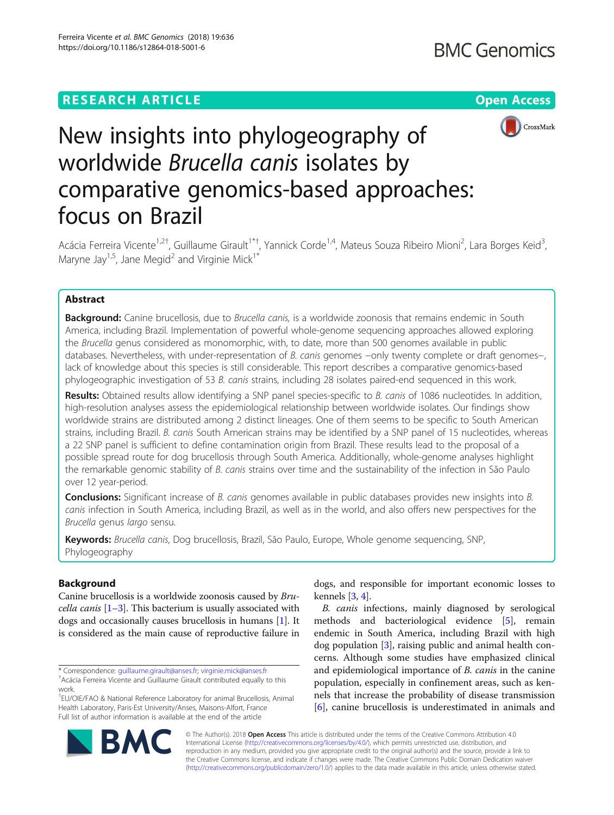# **RESEARCH ARTICLE Example 2018 12:30 THE Open Access**



# New insights into phylogeography of worldwide Brucella canis isolates by comparative genomics-based approaches: focus on Brazil

Acácia Ferreira Vicente<sup>1,2†</sup>, Guillaume Girault<sup>1\*†</sup>, Yannick Corde<sup>1,4</sup>, Mateus Souza Ribeiro Mioni<sup>2</sup>, Lara Borges Keid<sup>3</sup> .<br>. Maryne Jay<sup>1,5</sup>, Jane Megid<sup>2</sup> and Virginie Mick<sup>1\*</sup>

# Abstract

Background: Canine brucellosis, due to Brucella canis, is a worldwide zoonosis that remains endemic in South America, including Brazil. Implementation of powerful whole-genome sequencing approaches allowed exploring the Brucella genus considered as monomorphic, with, to date, more than 500 genomes available in public databases. Nevertheless, with under-representation of B. canis genomes <sup>−</sup>only twenty complete or draft genomes−, lack of knowledge about this species is still considerable. This report describes a comparative genomics-based phylogeographic investigation of 53 B. canis strains, including 28 isolates paired-end sequenced in this work.

Results: Obtained results allow identifying a SNP panel species-specific to B. canis of 1086 nucleotides. In addition, high-resolution analyses assess the epidemiological relationship between worldwide isolates. Our findings show worldwide strains are distributed among 2 distinct lineages. One of them seems to be specific to South American strains, including Brazil. B. canis South American strains may be identified by a SNP panel of 15 nucleotides, whereas a 22 SNP panel is sufficient to define contamination origin from Brazil. These results lead to the proposal of a possible spread route for dog brucellosis through South America. Additionally, whole-genome analyses highlight the remarkable genomic stability of B. canis strains over time and the sustainability of the infection in São Paulo over 12 year-period.

Conclusions: Significant increase of B. canis genomes available in public databases provides new insights into B. canis infection in South America, including Brazil, as well as in the world, and also offers new perspectives for the Brucella genus largo sensu.

Keywords: Brucella canis, Dog brucellosis, Brazil, São Paulo, Europe, Whole genome sequencing, SNP, Phylogeography

# Background

Canine brucellosis is a worldwide zoonosis caused by Bru*cella canis*  $[1-3]$  $[1-3]$  $[1-3]$  $[1-3]$  $[1-3]$ . This bacterium is usually associated with dogs and occasionally causes brucellosis in humans [\[1\]](#page-5-0). It is considered as the main cause of reproductive failure in

\* Correspondence: [guillaume.girault@anses.fr;](mailto:guillaume.girault@anses.fr) [virginie.mick@anses.fr](mailto:virginie.mick@anses.fr) †

1 EU/OIE/FAO & National Reference Laboratory for animal Brucellosis, Animal Health Laboratory, Paris-Est University/Anses, Maisons-Alfort, France Full list of author information is available at the end of the article

dogs, and responsible for important economic losses to kennels [[3,](#page-5-0) [4](#page-5-0)].

B. canis infections, mainly diagnosed by serological methods and bacteriological evidence [\[5](#page-5-0)], remain endemic in South America, including Brazil with high dog population [[3\]](#page-5-0), raising public and animal health concerns. Although some studies have emphasized clinical and epidemiological importance of B. canis in the canine population, especially in confinement areas, such as kennels that increase the probability of disease transmission [[6\]](#page-6-0), canine brucellosis is underestimated in animals and



© The Author(s). 2018 Open Access This article is distributed under the terms of the Creative Commons Attribution 4.0 International License [\(http://creativecommons.org/licenses/by/4.0/](http://creativecommons.org/licenses/by/4.0/)), which permits unrestricted use, distribution, and reproduction in any medium, provided you give appropriate credit to the original author(s) and the source, provide a link to the Creative Commons license, and indicate if changes were made. The Creative Commons Public Domain Dedication waiver [\(http://creativecommons.org/publicdomain/zero/1.0/](http://creativecommons.org/publicdomain/zero/1.0/)) applies to the data made available in this article, unless otherwise stated.

Acácia Ferreira Vicente and Guillaume Girault contributed equally to this work.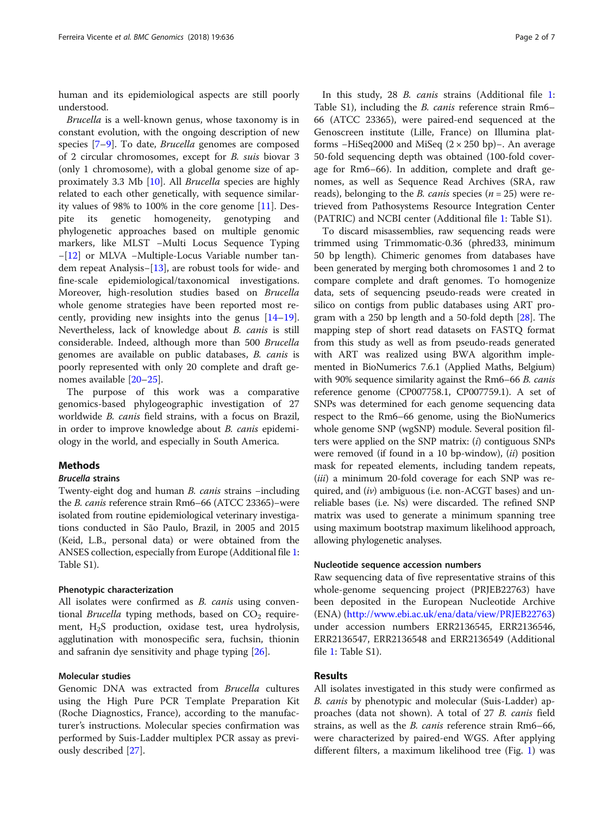human and its epidemiological aspects are still poorly understood.

Brucella is a well-known genus, whose taxonomy is in constant evolution, with the ongoing description of new species [\[7](#page-6-0)–[9\]](#page-6-0). To date, Brucella genomes are composed of 2 circular chromosomes, except for B. suis biovar 3 (only 1 chromosome), with a global genome size of approximately 3.3 Mb [\[10](#page-6-0)]. All Brucella species are highly related to each other genetically, with sequence similarity values of 98% to 100% in the core genome [\[11\]](#page-6-0). Despite its genetic homogeneity, genotyping and phylogenetic approaches based on multiple genomic markers, like MLST −Multi Locus Sequence Typing −[[12](#page-6-0)] or MLVA −Multiple-Locus Variable number tandem repeat Analysis−[[13\]](#page-6-0), are robust tools for wide- and fine-scale epidemiological/taxonomical investigations. Moreover, high-resolution studies based on Brucella whole genome strategies have been reported most recently, providing new insights into the genus [[14](#page-6-0)–[19](#page-6-0)]. Nevertheless, lack of knowledge about B. canis is still considerable. Indeed, although more than 500 Brucella genomes are available on public databases, B. canis is poorly represented with only 20 complete and draft genomes available [\[20](#page-6-0)–[25\]](#page-6-0).

The purpose of this work was a comparative genomics-based phylogeographic investigation of 27 worldwide B. canis field strains, with a focus on Brazil, in order to improve knowledge about B. canis epidemiology in the world, and especially in South America.

# **Methods**

# Brucella strains

Twenty-eight dog and human B. canis strains -including the B. canis reference strain Rm6–66 (ATCC 23365)−were isolated from routine epidemiological veterinary investigations conducted in São Paulo, Brazil, in 2005 and 2015 (Keid, L.B., personal data) or were obtained from the ANSES collection, especially from Europe (Additional file [1](#page-5-0): Table S1).

# Phenotypic characterization

All isolates were confirmed as *B. canis* using conventional *Brucella* typing methods, based on  $CO<sub>2</sub>$  requirement,  $H_2S$  production, oxidase test, urea hydrolysis, agglutination with monospecific sera, fuchsin, thionin and safranin dye sensitivity and phage typing [[26\]](#page-6-0).

# Molecular studies

Genomic DNA was extracted from Brucella cultures using the High Pure PCR Template Preparation Kit (Roche Diagnostics, France), according to the manufacturer's instructions. Molecular species confirmation was performed by Suis-Ladder multiplex PCR assay as previously described [[27](#page-6-0)].

In this study, 28 B. canis strains (Additional file [1](#page-5-0): Table S1), including the *B. canis* reference strain Rm6– 66 (ATCC 23365), were paired-end sequenced at the Genoscreen institute (Lille, France) on Illumina platforms −HiSeq2000 and MiSeq (2 × 250 bp)−. An average 50-fold sequencing depth was obtained (100-fold coverage for Rm6–66). In addition, complete and draft genomes, as well as Sequence Read Archives (SRA, raw reads), belonging to the *B. canis* species ( $n = 25$ ) were retrieved from Pathosystems Resource Integration Center (PATRIC) and NCBI center (Additional file [1](#page-5-0): Table S1).

To discard misassemblies, raw sequencing reads were trimmed using Trimmomatic-0.36 (phred33, minimum 50 bp length). Chimeric genomes from databases have been generated by merging both chromosomes 1 and 2 to compare complete and draft genomes. To homogenize data, sets of sequencing pseudo-reads were created in silico on contigs from public databases using ART program with a 250 bp length and a 50-fold depth [\[28](#page-6-0)]. The mapping step of short read datasets on FASTQ format from this study as well as from pseudo-reads generated with ART was realized using BWA algorithm implemented in BioNumerics 7.6.1 (Applied Maths, Belgium) with 90% sequence similarity against the Rm6–66 B. canis reference genome (CP007758.1, CP007759.1). A set of SNPs was determined for each genome sequencing data respect to the Rm6–66 genome, using the BioNumerics whole genome SNP (wgSNP) module. Several position filters were applied on the SNP matrix:  $(i)$  contiguous SNPs were removed (if found in a 10 bp-window), (ii) position mask for repeated elements, including tandem repeats, (*iii*) a minimum 20-fold coverage for each SNP was required, and (iv) ambiguous (i.e. non-ACGT bases) and unreliable bases (i.e. Ns) were discarded. The refined SNP matrix was used to generate a minimum spanning tree using maximum bootstrap maximum likelihood approach, allowing phylogenetic analyses.

# Nucleotide sequence accession numbers

Raw sequencing data of five representative strains of this whole-genome sequencing project (PRJEB22763) have been deposited in the European Nucleotide Archive (ENA) (<http://www.ebi.ac.uk/ena/data/view/PRJEB22763>) under accession numbers ERR2136545, ERR2136546, ERR2136547, ERR2136548 and ERR2136549 (Additional file [1:](#page-5-0) Table S1).

# Results

All isolates investigated in this study were confirmed as B. canis by phenotypic and molecular (Suis-Ladder) approaches (data not shown). A total of 27 B. canis field strains, as well as the B. canis reference strain Rm6–66, were characterized by paired-end WGS. After applying different filters, a maximum likelihood tree (Fig. [1](#page-2-0)) was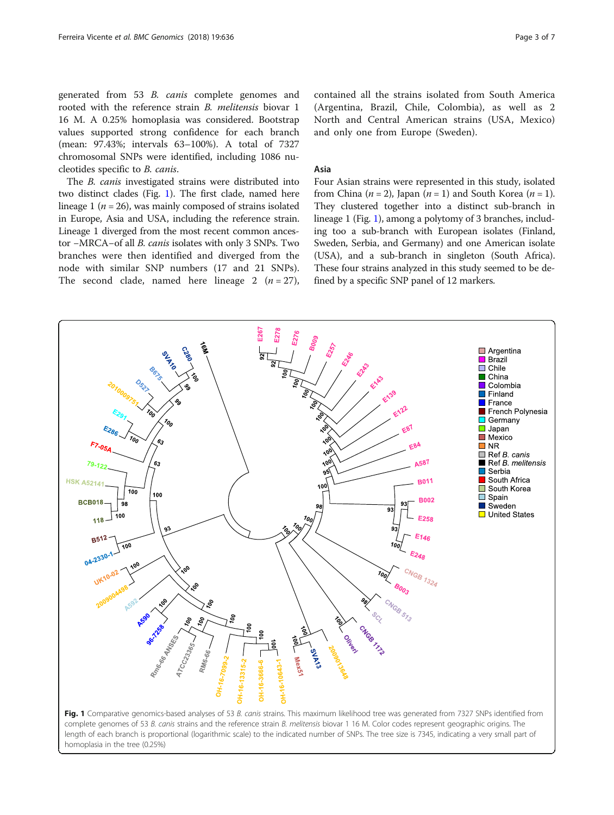<span id="page-2-0"></span>generated from 53 B. canis complete genomes and rooted with the reference strain B. melitensis biovar 1 16 M. A 0.25% homoplasia was considered. Bootstrap values supported strong confidence for each branch (mean: 97.43%; intervals 63–100%). A total of 7327 chromosomal SNPs were identified, including 1086 nucleotides specific to B. canis.

The B. canis investigated strains were distributed into two distinct clades (Fig. 1). The first clade, named here lineage 1 ( $n = 26$ ), was mainly composed of strains isolated in Europe, Asia and USA, including the reference strain. Lineage 1 diverged from the most recent common ancestor <sup>−</sup>MRCA−of all B. canis isolates with only 3 SNPs. Two branches were then identified and diverged from the node with similar SNP numbers (17 and 21 SNPs). The second clade, named here lineage 2  $(n = 27)$ ,

contained all the strains isolated from South America (Argentina, Brazil, Chile, Colombia), as well as 2 North and Central American strains (USA, Mexico) and only one from Europe (Sweden).

# Asia

Four Asian strains were represented in this study, isolated from China ( $n = 2$ ), Japan ( $n = 1$ ) and South Korea ( $n = 1$ ). They clustered together into a distinct sub-branch in lineage 1 (Fig. 1), among a polytomy of 3 branches, including too a sub-branch with European isolates (Finland, Sweden, Serbia, and Germany) and one American isolate (USA), and a sub-branch in singleton (South Africa). These four strains analyzed in this study seemed to be defined by a specific SNP panel of 12 markers.

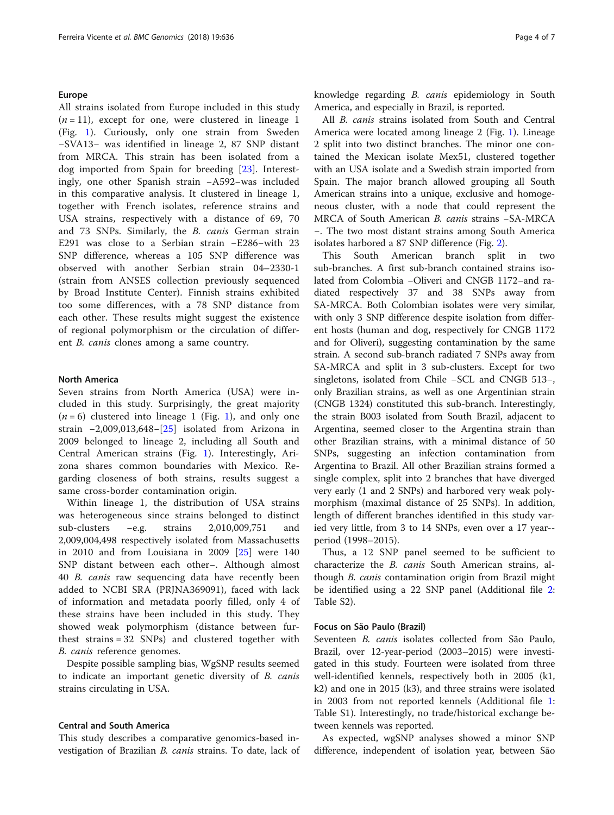#### Europe

All strains isolated from Europe included in this study  $(n = 11)$ , except for one, were clustered in lineage 1 (Fig. [1\)](#page-2-0). Curiously, only one strain from Sweden −SVA13− was identified in lineage 2, 87 SNP distant from MRCA. This strain has been isolated from a dog imported from Spain for breeding [[23\]](#page-6-0). Interestingly, one other Spanish strain −A592−was included in this comparative analysis. It clustered in lineage 1, together with French isolates, reference strains and USA strains, respectively with a distance of 69, 70 and 73 SNPs. Similarly, the B. canis German strain E291 was close to a Serbian strain −E286−with 23 SNP difference, whereas a 105 SNP difference was observed with another Serbian strain 04–2330-1 (strain from ANSES collection previously sequenced by Broad Institute Center). Finnish strains exhibited too some differences, with a 78 SNP distance from each other. These results might suggest the existence of regional polymorphism or the circulation of different B. canis clones among a same country.

#### North America

Seven strains from North America (USA) were included in this study. Surprisingly, the great majority  $(n = 6)$  clustered into lineage 1 (Fig. [1\)](#page-2-0), and only one strain −2,009,013,648−[\[25](#page-6-0)] isolated from Arizona in 2009 belonged to lineage 2, including all South and Central American strains (Fig. [1](#page-2-0)). Interestingly, Arizona shares common boundaries with Mexico. Regarding closeness of both strains, results suggest a same cross-border contamination origin.

Within lineage 1, the distribution of USA strains was heterogeneous since strains belonged to distinct sub-clusters −e.g. strains 2,010,009,751 and 2,009,004,498 respectively isolated from Massachusetts in 2010 and from Louisiana in 2009 [\[25](#page-6-0)] were 140 SNP distant between each other−. Although almost <sup>40</sup> B. canis raw sequencing data have recently been added to NCBI SRA (PRJNA369091), faced with lack of information and metadata poorly filled, only 4 of these strains have been included in this study. They showed weak polymorphism (distance between furthest strains = 32 SNPs) and clustered together with B. canis reference genomes.

Despite possible sampling bias, WgSNP results seemed to indicate an important genetic diversity of B. canis strains circulating in USA.

# Central and South America

This study describes a comparative genomics-based investigation of Brazilian B. canis strains. To date, lack of knowledge regarding B. canis epidemiology in South America, and especially in Brazil, is reported.

All *B. canis* strains isolated from South and Central America were located among lineage 2 (Fig. [1](#page-2-0)). Lineage 2 split into two distinct branches. The minor one contained the Mexican isolate Mex51, clustered together with an USA isolate and a Swedish strain imported from Spain. The major branch allowed grouping all South American strains into a unique, exclusive and homogeneous cluster, with a node that could represent the MRCA of South American B. canis strains <sup>−</sup>SA-MRCA −. The two most distant strains among South America isolates harbored a 87 SNP difference (Fig. [2\)](#page-4-0).

This South American branch split in two sub-branches. A first sub-branch contained strains isolated from Colombia −Oliveri and CNGB 1172−and radiated respectively 37 and 38 SNPs away from SA-MRCA. Both Colombian isolates were very similar, with only 3 SNP difference despite isolation from different hosts (human and dog, respectively for CNGB 1172 and for Oliveri), suggesting contamination by the same strain. A second sub-branch radiated 7 SNPs away from SA-MRCA and split in 3 sub-clusters. Except for two singletons, isolated from Chile −SCL and CNGB 513−, only Brazilian strains, as well as one Argentinian strain (CNGB 1324) constituted this sub-branch. Interestingly, the strain B003 isolated from South Brazil, adjacent to Argentina, seemed closer to the Argentina strain than other Brazilian strains, with a minimal distance of 50 SNPs, suggesting an infection contamination from Argentina to Brazil. All other Brazilian strains formed a single complex, split into 2 branches that have diverged very early (1 and 2 SNPs) and harbored very weak polymorphism (maximal distance of 25 SNPs). In addition, length of different branches identified in this study varied very little, from 3 to 14 SNPs, even over a 17 year- period (1998–2015).

Thus, a 12 SNP panel seemed to be sufficient to characterize the B. canis South American strains, although B. canis contamination origin from Brazil might be identified using a 22 SNP panel (Additional file [2](#page-5-0): Table S2).

## Focus on São Paulo (Brazil)

Seventeen B. canis isolates collected from São Paulo, Brazil, over 12-year-period (2003–2015) were investigated in this study. Fourteen were isolated from three well-identified kennels, respectively both in 2005 (k1, k2) and one in 2015 (k3), and three strains were isolated in 2003 from not reported kennels (Additional file [1](#page-5-0): Table S1). Interestingly, no trade/historical exchange between kennels was reported.

As expected, wgSNP analyses showed a minor SNP difference, independent of isolation year, between São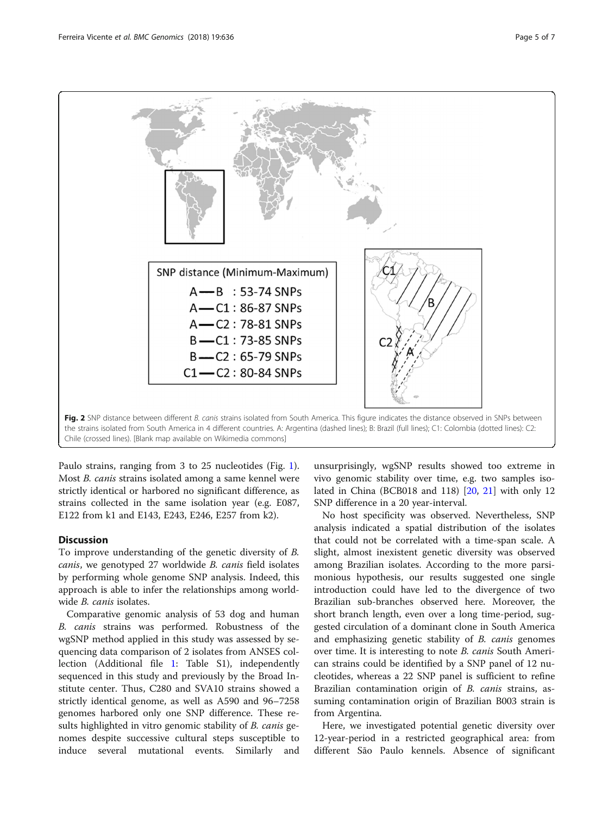

<span id="page-4-0"></span>

Paulo strains, ranging from 3 to 25 nucleotides (Fig. [1](#page-2-0)). Most B. canis strains isolated among a same kennel were strictly identical or harbored no significant difference, as strains collected in the same isolation year (e.g. E087, E122 from k1 and E143, E243, E246, E257 from k2).

# Discussion

To improve understanding of the genetic diversity of B. canis, we genotyped 27 worldwide B. canis field isolates by performing whole genome SNP analysis. Indeed, this approach is able to infer the relationships among worldwide B. canis isolates.

Comparative genomic analysis of 53 dog and human B. canis strains was performed. Robustness of the wgSNP method applied in this study was assessed by sequencing data comparison of 2 isolates from ANSES collection (Additional file [1:](#page-5-0) Table S1), independently sequenced in this study and previously by the Broad Institute center. Thus, C280 and SVA10 strains showed a strictly identical genome, as well as A590 and 96–7258 genomes harbored only one SNP difference. These results highlighted in vitro genomic stability of B. canis genomes despite successive cultural steps susceptible to induce several mutational events. Similarly and

unsurprisingly, wgSNP results showed too extreme in vivo genomic stability over time, e.g. two samples isolated in China (BCB018 and 118) [[20,](#page-6-0) [21](#page-6-0)] with only 12 SNP difference in a 20 year-interval.

No host specificity was observed. Nevertheless, SNP analysis indicated a spatial distribution of the isolates that could not be correlated with a time-span scale. A slight, almost inexistent genetic diversity was observed among Brazilian isolates. According to the more parsimonious hypothesis, our results suggested one single introduction could have led to the divergence of two Brazilian sub-branches observed here. Moreover, the short branch length, even over a long time-period, suggested circulation of a dominant clone in South America and emphasizing genetic stability of B. canis genomes over time. It is interesting to note B. canis South American strains could be identified by a SNP panel of 12 nucleotides, whereas a 22 SNP panel is sufficient to refine Brazilian contamination origin of B. canis strains, assuming contamination origin of Brazilian B003 strain is from Argentina.

Here, we investigated potential genetic diversity over 12-year-period in a restricted geographical area: from different São Paulo kennels. Absence of significant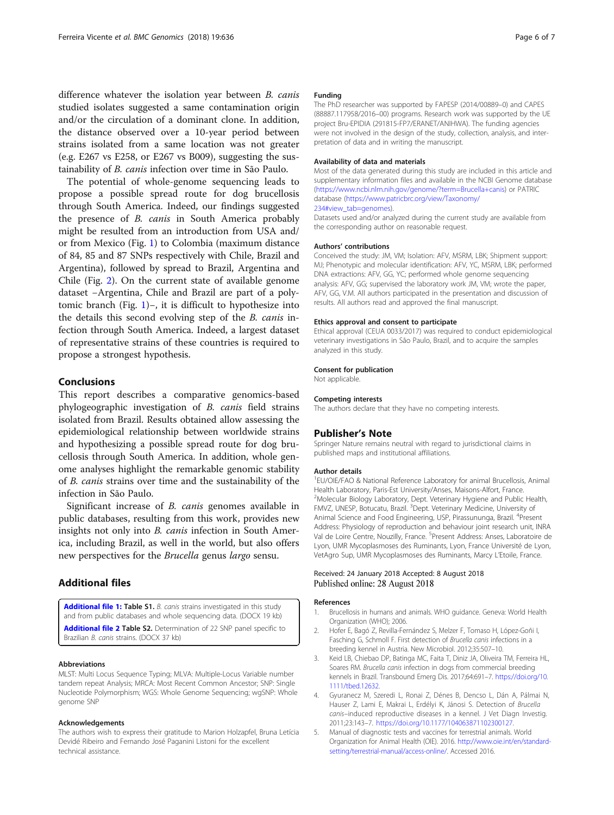<span id="page-5-0"></span>difference whatever the isolation year between B. canis studied isolates suggested a same contamination origin and/or the circulation of a dominant clone. In addition, the distance observed over a 10-year period between strains isolated from a same location was not greater (e.g. E267 vs E258, or E267 vs B009), suggesting the sustainability of B. canis infection over time in São Paulo.

The potential of whole-genome sequencing leads to propose a possible spread route for dog brucellosis through South America. Indeed, our findings suggested the presence of B. canis in South America probably might be resulted from an introduction from USA and/ or from Mexico (Fig. [1\)](#page-2-0) to Colombia (maximum distance of 84, 85 and 87 SNPs respectively with Chile, Brazil and Argentina), followed by spread to Brazil, Argentina and Chile (Fig. [2](#page-4-0)). On the current state of available genome dataset −Argentina, Chile and Brazil are part of a polytomic branch (Fig. [1\)](#page-2-0)−, it is difficult to hypothesize into the details this second evolving step of the B. canis infection through South America. Indeed, a largest dataset of representative strains of these countries is required to propose a strongest hypothesis.

# Conclusions

This report describes a comparative genomics-based phylogeographic investigation of B. canis field strains isolated from Brazil. Results obtained allow assessing the epidemiological relationship between worldwide strains and hypothesizing a possible spread route for dog brucellosis through South America. In addition, whole genome analyses highlight the remarkable genomic stability of B. canis strains over time and the sustainability of the infection in São Paulo.

Significant increase of B. canis genomes available in public databases, resulting from this work, provides new insights not only into B. canis infection in South America, including Brazil, as well in the world, but also offers new perspectives for the Brucella genus largo sensu.

# Additional files

[Additional file 1:](https://doi.org/10.1186/s12864-018-5001-6) Table S1. B. canis strains investigated in this study and from public databases and whole sequencing data. (DOCX 19 kb) [Additional file 2](https://doi.org/10.1186/s12864-018-5001-6) Table S2. Determination of 22 SNP panel specific to Brazilian B. canis strains. (DOCX 37 kb)

#### Abbreviations

MLST: Multi Locus Sequence Typing; MLVA: Multiple-Locus Variable number tandem repeat Analysis; MRCA: Most Recent Common Ancestor; SNP: Single Nucleotide Polymorphism; WGS: Whole Genome Sequencing; wgSNP: Whole genome SNP

#### Acknowledgements

The authors wish to express their gratitude to Marion Holzapfel, Bruna Letícia Devidé Ribeiro and Fernando José Paganini Listoni for the excellent technical assistance.

#### Funding

The PhD researcher was supported by FAPESP (2014/00889–0) and CAPES (88887.117958/2016–00) programs. Research work was supported by the UE project Bru-EPIDIA (291815-FP7/ERANET/ANIHWA). The funding agencies were not involved in the design of the study, collection, analysis, and interpretation of data and in writing the manuscript.

#### Availability of data and materials

Most of the data generated during this study are included in this article and supplementary information files and available in the NCBI Genome database ([https://www.ncbi.nlm.nih.gov/genome/?term=Brucella+canis\)](https://www.ncbi.nlm.nih.gov/genome/?term=Brucella+canis) or PATRIC database ([https://www.patricbrc.org/view/Taxonomy/](https://www.patricbrc.org/view/Taxonomy/234#view_tab=genomes)

[234#view\\_tab=genomes\)](https://www.patricbrc.org/view/Taxonomy/234#view_tab=genomes).

Datasets used and/or analyzed during the current study are available from the corresponding author on reasonable request.

#### Authors' contributions

Conceived the study: JM, VM; Isolation: AFV, MSRM, LBK; Shipment support: MJ; Phenotypic and molecular identification: AFV, YC, MSRM, LBK; performed DNA extractions: AFV, GG, YC; performed whole genome sequencing analysis: AFV, GG; supervised the laboratory work JM, VM; wrote the paper, AFV, GG, V.M. All authors participated in the presentation and discussion of results. All authors read and approved the final manuscript.

#### Ethics approval and consent to participate

Ethical approval (CEUA 0033/2017) was required to conduct epidemiological veterinary investigations in São Paulo, Brazil, and to acquire the samples analyzed in this study.

#### Consent for publication

Not applicable.

#### Competing interests

The authors declare that they have no competing interests.

#### Publisher's Note

Springer Nature remains neutral with regard to jurisdictional claims in published maps and institutional affiliations.

#### Author details

<sup>1</sup>EU/OIE/FAO & National Reference Laboratory for animal Brucellosis, Animal Health Laboratory, Paris-Est University/Anses, Maisons-Alfort, France. <sup>2</sup>Molecular Biology Laboratory, Dept. Veterinary Hygiene and Public Health FMVZ, UNESP, Botucatu, Brazil. <sup>3</sup>Dept. Veterinary Medicine, University of Animal Science and Food Engineering, USP, Pirassununga, Brazil. <sup>4</sup>Present Address: Physiology of reproduction and behaviour joint research unit, INRA Val de Loire Centre, Nouzilly, France. <sup>5</sup>Present Address: Anses, Laboratoire de Lyon, UMR Mycoplasmoses des Ruminants, Lyon, France Université de Lyon, VetAgro Sup, UMR Mycoplasmoses des Ruminants, Marcy L'Etoile, France.

# Received: 24 January 2018 Accepted: 8 August 2018 Published online: 28 August 2018

#### References

- 1. Brucellosis in humans and animals. WHO guidance. Geneva: World Health Organization (WHO); 2006.
- 2. Hofer E, Bagó Z, Revilla-Fernández S, Melzer F, Tomaso H, López-Goñi I, Fasching G, Schmoll F. First detection of Brucella canis infections in a breeding kennel in Austria. New Microbiol. 2012;35:507–10.
- 3. Keid LB, Chiebao DP, Batinga MC, Faita T, Diniz JA, Oliveira TM, Ferreira HL, Soares RM. Brucella canis infection in dogs from commercial breeding kennels in Brazil. Transbound Emerg Dis. 2017;64:691–7. [https://doi.org/10.](https://doi.org/10.1111/tbed.12632) [1111/tbed.12632](https://doi.org/10.1111/tbed.12632).
- 4. Gyuranecz M, Szeredi L, Ronai Z, Dénes B, Dencso L, Dán A, Pálmai N, Hauser Z, Lami E, Makrai L, Erdélyi K, Jánosi S. Detection of Brucella canis–induced reproductive diseases in a kennel. J Vet Diagn Investig. 2011;23:143–7. [https://doi.org/10.1177/104063871102300127.](https://doi.org/10.1177/104063871102300127)
- 5. Manual of diagnostic tests and vaccines for terrestrial animals. World Organization for Animal Health (OIE). 2016. [http://www.oie.int/en/standard](http://www.oie.int/en/standard-setting/terrestrial-manual/access-online/)[setting/terrestrial-manual/access-online/.](http://www.oie.int/en/standard-setting/terrestrial-manual/access-online/) Accessed 2016.